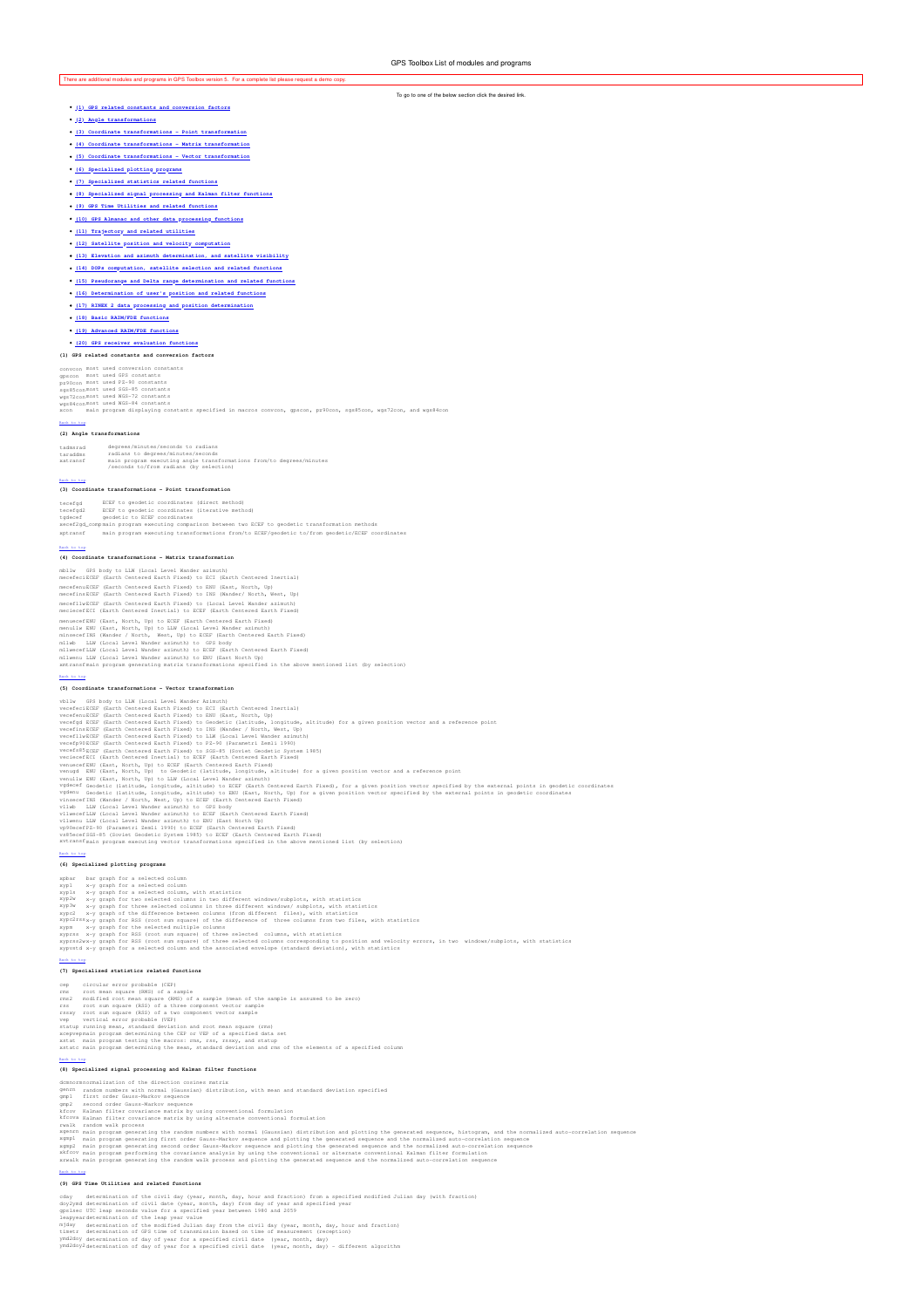# There are a

- **(1) GPS related constants and conversion factors**
- **(2) Angle transformations**
- **(3) Coordinate transformations Point transformation**
- **(4) Coordinate transformations Matrix transformation**
- **(5) Coordinate transformations Vector transformation**
- **(6) Specialized plotting programs**
- **(7) Specialized statistics related functions**
- **(8) Specialized signal processing and Kalman filter functions**
- **(9) GPS Time Utilities and related functions**
- **(10) GPS Almanac and other data processing functions**
- **(11) Trajectory and related utilities**
- **(12) Satellite position and velocity computation**
- $(13)$  Ele
- **(14) DOPs computation, satellite selection and related functions**
- **(15) Pseudorange and Delta range determination and related functions**
- **(16) Determination of user's position and related functions**
- **(17) RINEX 2 data processing and position determination**
- **(18) Basic RAIM/FDE functions**
- **(19) Advanced RAIM/FDE functions**
- **(20) GPS receiver evaluation function**

### **(1) GPS related constants and conversion factors**

convcon most used conversion constants<br>gps2con most used GPS constants<br>sgs85conmost used SGS-85 constants<br>wgs72conmost used WGS-72 constants<br>wgs84conmost used WGS-72 constants<br>wgs84conmost used WGS-84 constants

stants specified in macros convcon, gpscon, pz90con, sgs85con, wgs72con, and wgs84c

#### Back to top

**(2) Angle transformations** tadmsrad degrees/minutes/seconds to radians taraddms radians to degrees/minutes/seconds xatransf main program executing angle transformations from/to degrees/minutes /seconds to/from radians (by selection)

### (3) Coordi

**(3) Coordinate transformations - Point transformation**

- 
- tecefgd ECEF to geodetic coordinates (direct method)<br>tecefgd2 ECEF to geodetic coordinates (iterative method)<br>xecef2gd\_compamin program executing comparison between two ECEF to geodetic transformation methods xptransf main program executing transformations from/to ECEF/geodetic to/from geodetic/ECEF coordinates and program executing transformations from/to ECEF/geodetic to/from geodetic/ECEF coordinates
- 

#### **(4) Coordinate transformations - Matrix transformation**

mbllw GPS body to LLW (Local Level Wander azimuth) mecefeci ECEF (Earth Centered Earth Fixed) to ECI (Earth Centered Inertial) mecefenu ECEF (Earth Centered Earth Fixed) to ENU (East, North, Up) mecefins ECEF (Earth Centered Earth Fixed) to INS (Wander/ North, West, Up) mecefllw ECEF (Earth Centered Earth Fixed) to (Local Level Wander azimuth) meciecef ECI (Earth Centered Inertial) to ECEF (Earth Centered Earth Fixed)

menuscefülü (East, North, Up) to ECET (Early Centered Early Fixed)<br>menully ENU (East, North, Up) to ECET (Early Newstor Marketin Centered Early England<br>milword Hill (East, North, West, Up) to ECET (Early Centered Earth Fix

#### Back to top

**(5) Coordinate transformations - Vector transformation**

vblu GFS body to LiM (Local Level Mander Azimuth)<br>weefect ECEF (Earth Centered Earth Fixed) to ECT (Earth Centered Inertial)<br>veedepa ECEF (Earth Centered Earth Fixed) to ENECT (Earth Centered Inertial)<br>weefig4 ECEF (Earth

#### **(6) Specialized plotting programs**

- 
- 
- 
- 
- 
- xpb= har graph for a selected column, with statistics<br>sypi ary graph for a selected column, with statistics<br>sypi ary graph for a selected column, with statistics<br>sypi ary graph for two selected columns in two different win

#### Back to top

- **(7) Specialized statistics related functions**
- 
- 
- 
- 
- 
- 
- cep circular error probable (CEP)<br>rms croot mean square (RMS) of a sample (mean of the sample is assumed to be zero)<br>rms modified root mean square (RMS) of a three component vector zample<br>rms cross cross cross cross cross

- **(8) Specialized signal processing and Kalman filter functions**
- 
- 
- 
- 
- demormononalization of the direction cosines matrix<br>year and manufacture of the direction cosines matrix<br>year and manufacture cost of the direction cost of the state of the state of the state of the state of the state of t
- 
- 
- 

### **(9) GPS Time Utilities and related functions**

- 
- 
- 
- 
- 
- cday determination of the civil date (year, month, day) frou and fraction) from a specified modified Julian day (with fraction)<br>doy2ymd determination of civil date (year, month, day) from day of year and specified year<br>pea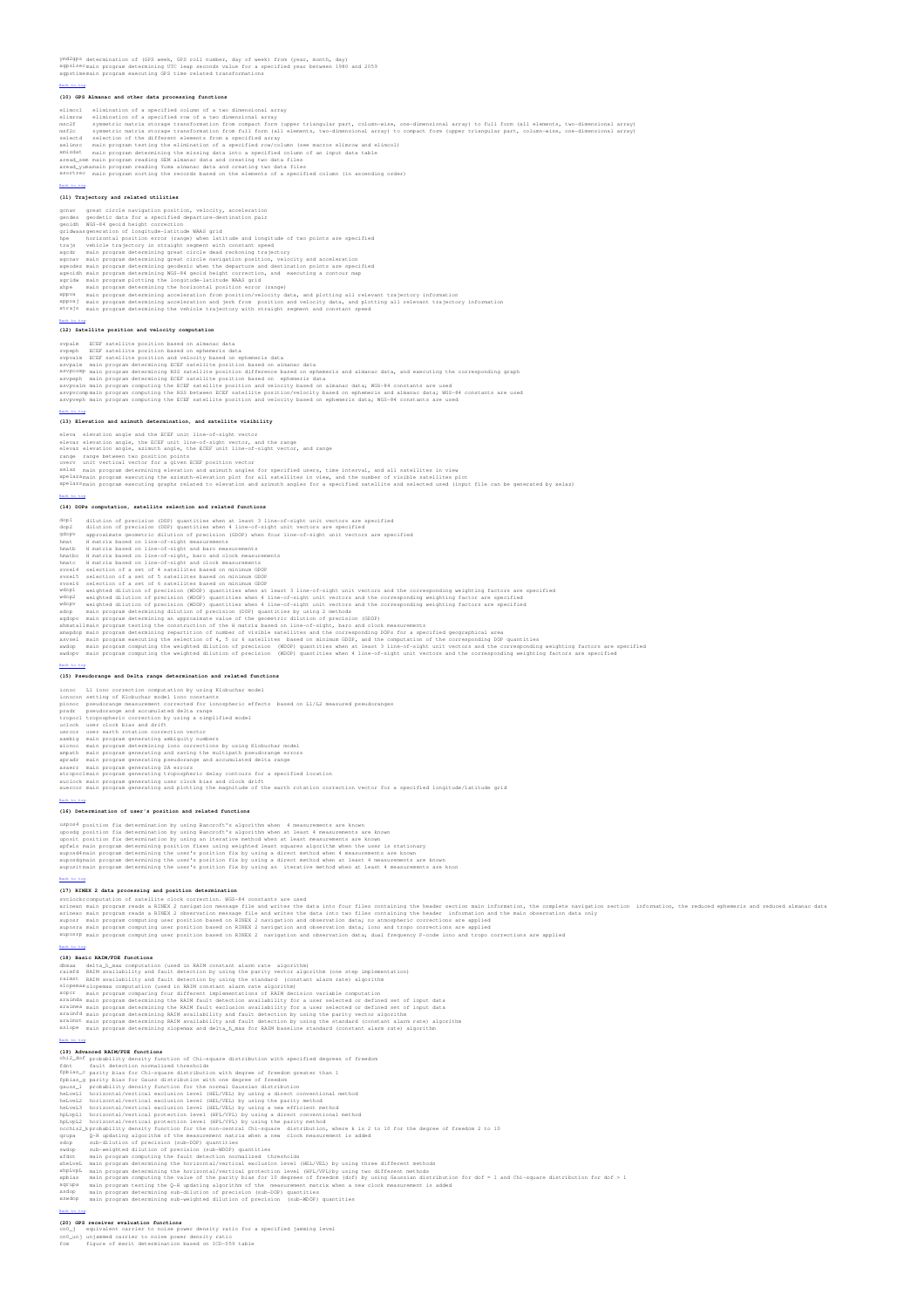ymd2gps determination of (GPS week, GPS roll number, day of week) from (year, month, day)<br>xgpslsecmain program determining UTC leap seconds value for a specified year between 1980 and 2059<br>xgpstimemain program executing GP

#### Back to top

#### **(10) GPS Almanac and other data processing functions**

- 
- eliance) elialization of a specified coum of a two dimensional array<br>eliance consideration of a specified coum of a two dimensional array<br>eliance is applicable to the strategies of the strategies of the strategies of the s
- 
- 
- 
- 

#### **(11) Trajectory and related utilities**

- 
- 
- 
- 
- 
- 
- 
- 
- gramw great circle navigation position, wholcity, acceleration<br>geodes geodesic data for a specified departure-destination pair<br>graduate specified departure-destination pair<br>gridwassgeneration of longitude-latitude WAAS gri
- 
- **(12) Satellite position and velocity computation**

- 
- 
- 
- 
- spyshm ECEF satellite position based on almano data<br>spyshm ECEF satellite position based on aphamerias data<br>spyshm ECEF satellite position based on ephemeria data<br>spyshm ECEF satellite position and velocity based on epheme

#### Back to top

### **(13) Elevation and azimuth determination, and satellite visibility**

- 
- eleva elevation angle and the ECEF unit line-of-sight vector<br>elevat elevation angle, the ECEF unit line-of-sight vector, and the range<br>elevat elevation angle, aiminh angle, the ECEF unit line-of-sight vector, and range<br>ran

#### Back to top

#### **(14) DOPs computation, satellite selection and related functions**

- 
- dop1 dilution of precision (DOP) quantities when at least 3 line-of-sight unit vectors are specified dop2 dilution of precision (DOP) quantities when 4 line-of-sight unit vectors are specified gdopv approximate geometric dilution of precision (GDOP) when four line-of-sight unit vectors are specified
- 
- 
- 
- 
- 
- 
- 
- 
- 
- 
- lmath H matrix hased on line-of-sight measurements<br>hmath H matrix hased on line-of-sight measurements<br>hmath H matrix hased on line-of-sight and baco measurements<br>hmath and internal control measurements<br>hmath and a matrix h
- 

**(15) Pseudorange and Delta range determination and related functions**

- 
- 
- 
- 
- 
- 
- 
- 
- ionoco ll iono correction computation by using Klobuchar model<br>ionocon setting of Rlobuchar model iono constants<br>pionoc pseudorange measurement corrected of priompheric effects based on Li/L2 measured pseudoranges<br>pradr ps

(16) Determination of user's position and related f

- 
- 
- 
- 
- uspood position fix determination by using Bancroft's algorithm when 4 measurements are known<br>uposed position fix determination by using Bancroft's algorithm when at least 4 measurements are known<br>uposed position fix deter

#### Back to top

**(17) RINEX 2 data processing and position determination**

svelockeomputation of satellite clock correction. MGS-84 constants are used<br>wripswa main program reads a RNEX 2 navigation message file and writes the data into four files containing the header section main information, th

- 
- 
- 
- 
- 
- Makatan<br>(19) Basic RAIM/FDE functions<br>can constant alarm rate algorithm)<br>rainfo Abita Junax computations<br>rainfo ABIM availability and fault detection by using the parity vector algorithm (one step implementation)<br>rainfo AB
- 
- xraimst main program determining RAIM availability and fault detection by using the standard (constant alarm rate) algorithm<br>xslope main program determining slopemax and delta\_h\_max for RAIM baseline standard (constant al

- 
- 
- 
- 
- 
- 
- 
- 
- 
- 
- 
- ination<br>(13) Advanced RAIM/FOE functions of Chi-square distribution with specified degrees of freedom<br>this fight probability desired interaction of Chi-square distribution with specified degrees of freedom<br>fights.g. parity
- 
- 

- 
- (20) GBS receiver evaluation functions<br>cn0\_\_mj equivalent carrier to noise power density ratio for a specified jamming level<br>cn0\_\_mj unjammed carrier to noise power density ratio<br>fom a fiqure of merit determination based o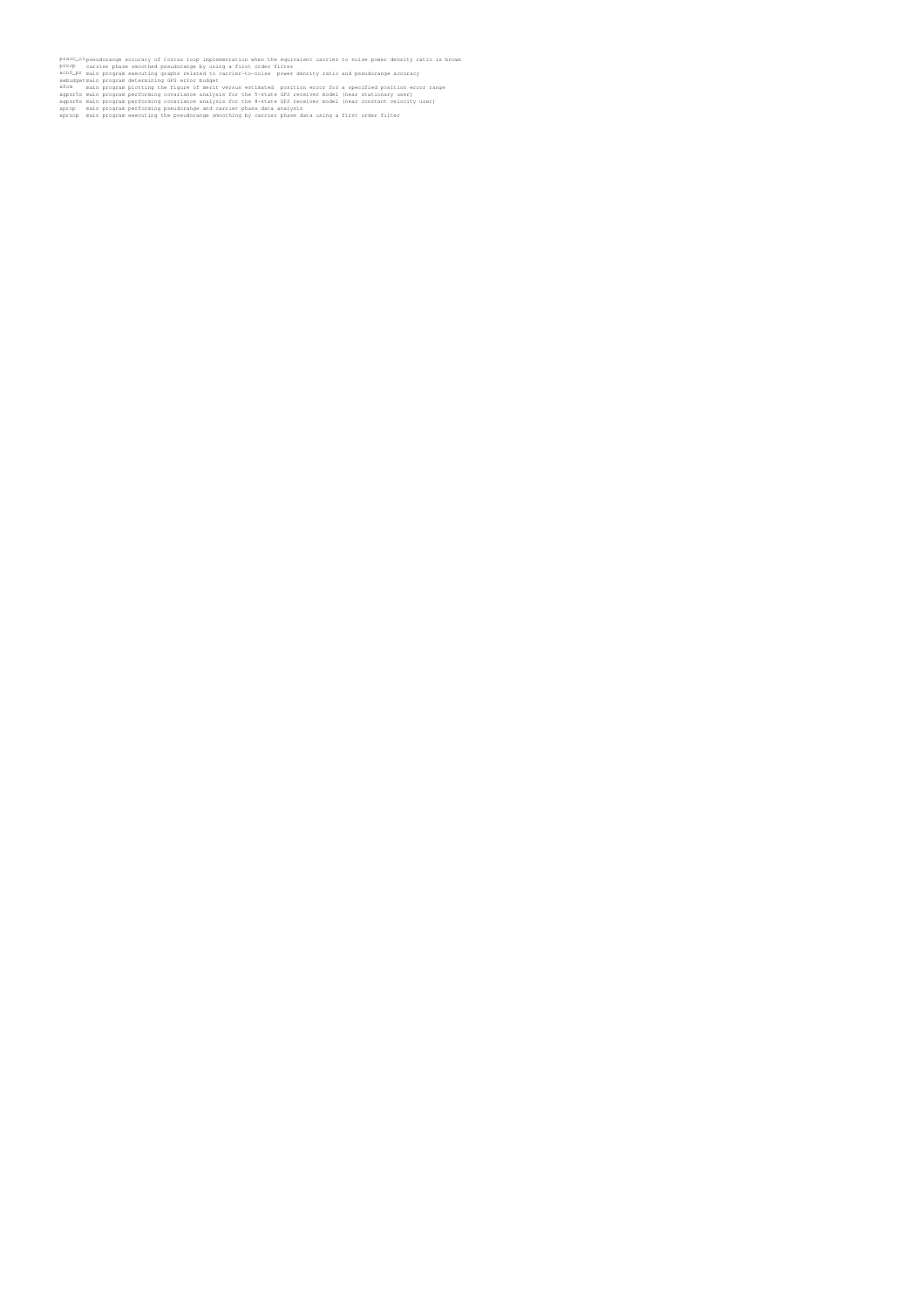- 
- 
- 
- prace\_clipseudorange accuracy of Costas loop implementation when the equivalent carrier to noise power density ratio is known<br>prace\_clipseudorange accuracy of Costas loop implementation when the equivalent properties and p
-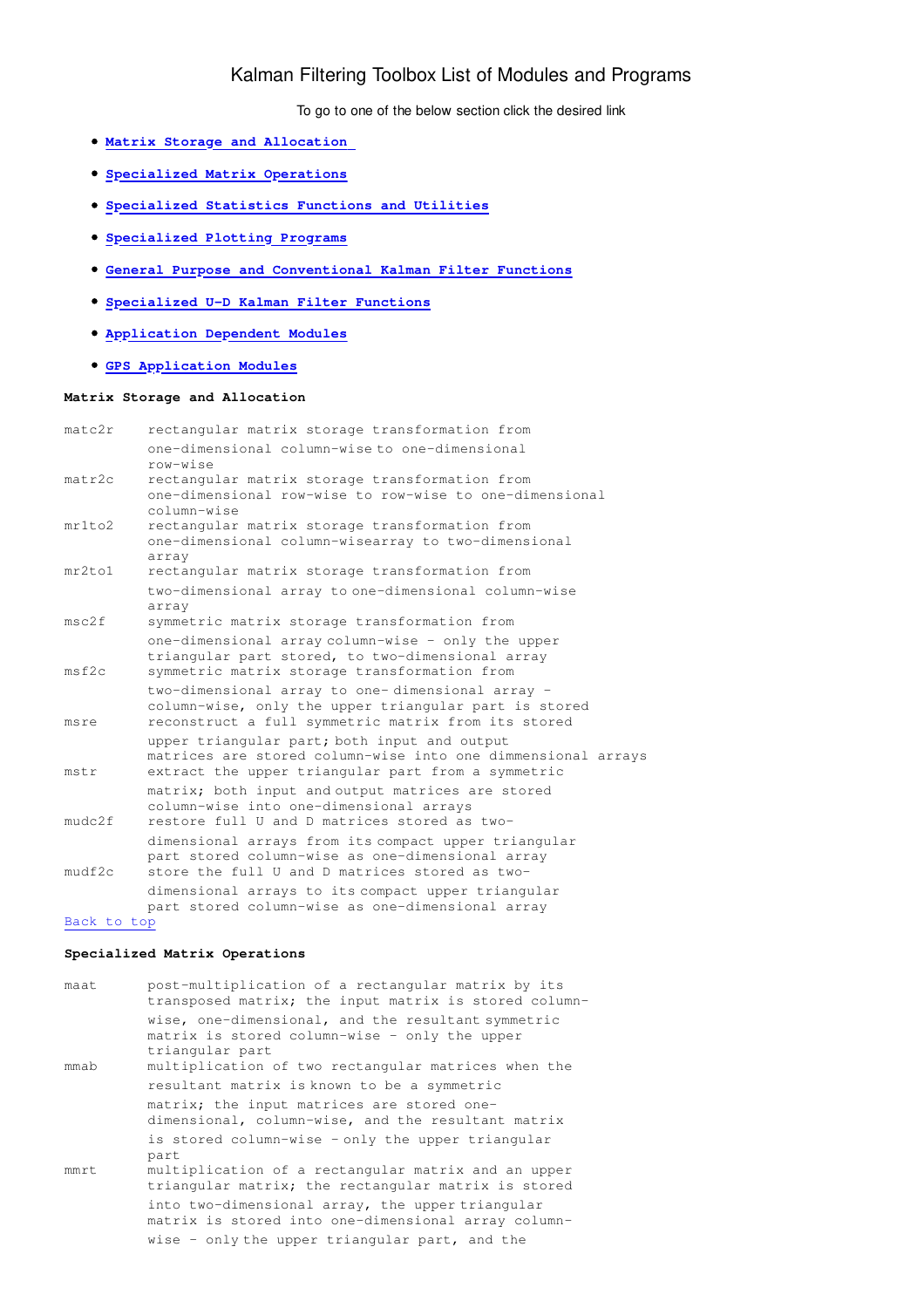# Kalman Filtering Toolbox List of Modules and Programs

To go to one of the below section click the desired link

- **Matrix Storage and Allocation**
- **Specialized Matrix Operations**
- **Specialized Statistics Functions and Utilities**
- **Specialized Plotting Programs**
- **General Purpose and Conventional Kalman Filter Functions**
- **Specialized U-D Kalman Filter Functions**
- **Application Dependent Modules**
- **GPS Application Modules**

## **Matrix Storage and Allocation**

| mat.c2r | rectangular matrix storage transformation from                                                                                                                     |
|---------|--------------------------------------------------------------------------------------------------------------------------------------------------------------------|
|         | one-dimensional column-wise to one-dimensional<br>row-wise                                                                                                         |
| matr2c  | rectangular matrix storage transformation from<br>one-dimensional row-wise to row-wise to one-dimensional<br>column-wise                                           |
| mr1to2  | rectangular matrix storage transformation from<br>one-dimensional column-wisearray to two-dimensional<br>array                                                     |
| mr2t.01 | rectangular matrix storage transformation from                                                                                                                     |
|         | two-dimensional array to one-dimensional column-wise<br>array                                                                                                      |
| msc2f   | symmetric matrix storage transformation from                                                                                                                       |
| msf2c   | one-dimensional array column-wise - only the upper<br>triangular part stored, to two-dimensional array<br>symmetric matrix storage transformation from             |
| msre    | two-dimensional array to one-dimensional array -<br>column-wise, only the upper triangular part is stored<br>reconstruct a full symmetric matrix from its stored   |
| mstr    | upper triangular part; both input and output<br>matrices are stored column-wise into one dimmensional arrays<br>extract the upper triangular part from a symmetric |
| mudc2f  | matrix; both input and output matrices are stored<br>column-wise into one-dimensional arrays<br>restore full U and D matrices stored as two-                       |
| mudf2c  | dimensional arrays from its compact upper triangular<br>part stored column-wise as one-dimensional array<br>store the full U and D matrices stored as two-         |
|         | dimensional arrays to its compact upper triangular<br>part stored column-wise as one-dimensional array                                                             |

## Back to top

## **Specialized Matrix Operations**

| maat | post-multiplication of a rectangular matrix by its<br>transposed matrix; the input matrix is stored column-                                                                   |
|------|-------------------------------------------------------------------------------------------------------------------------------------------------------------------------------|
| mmab | wise, one-dimensional, and the resultant symmetric<br>matrix is stored column-wise - only the upper<br>triangular part<br>multiplication of two rectangular matrices when the |
|      | resultant matrix is known to be a symmetric                                                                                                                                   |
|      | matrix; the input matrices are stored one-<br>dimensional, column-wise, and the resultant matrix                                                                              |
|      | is stored column-wise - only the upper triangular<br>part                                                                                                                     |
| mmrt | multiplication of a rectangular matrix and an upper<br>triangular matrix; the rectangular matrix is stored                                                                    |
|      | into two-dimensional array, the upper triangular<br>matrix is stored into one-dimensional array column-                                                                       |
|      | wise - only the upper triangular part, and the                                                                                                                                |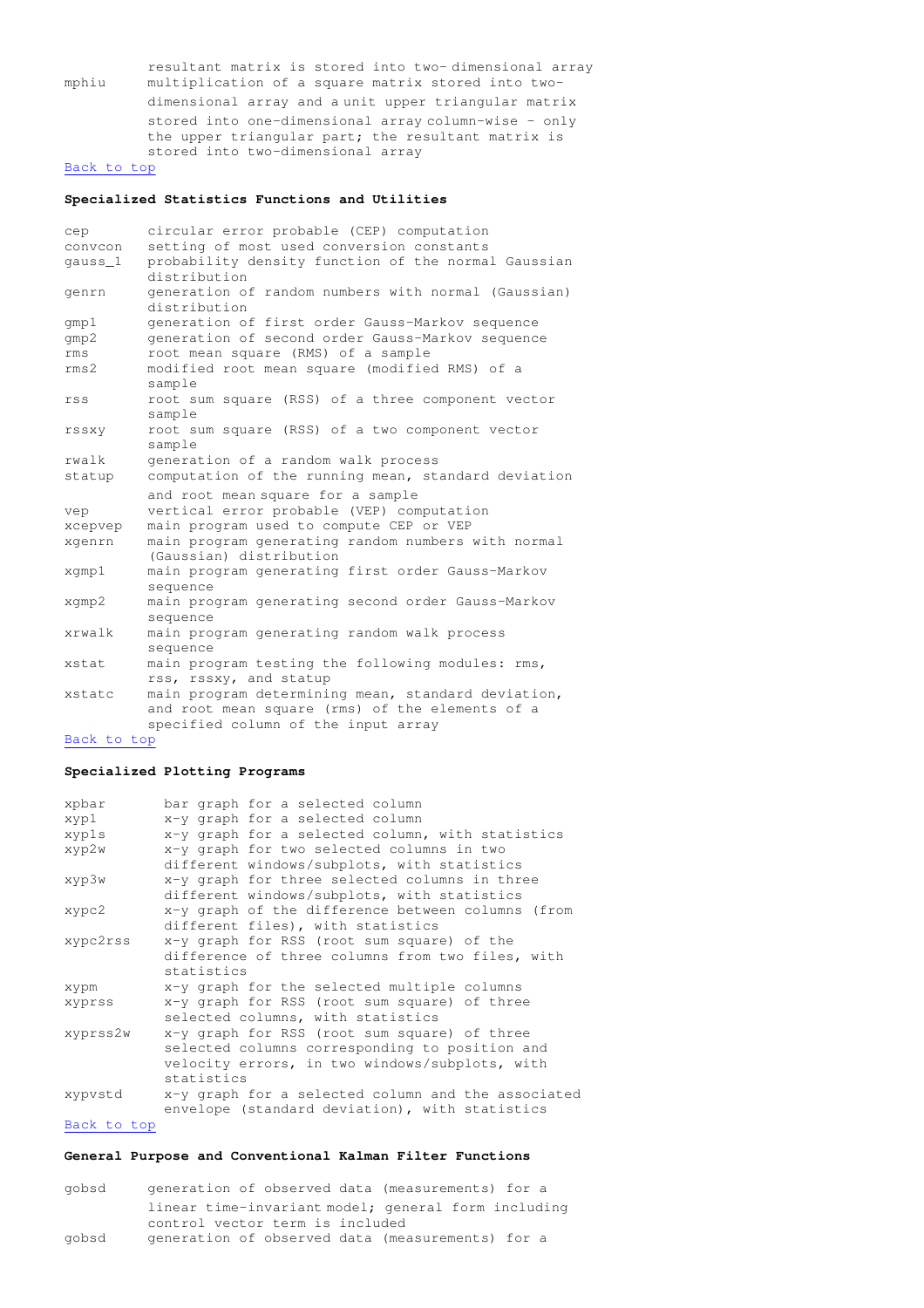resultant matrix is stored into two- dimensional array mphiu multiplication of a square matrix stored into two dimensional array and a unit upper triangular matrix stored into one-dimensional array column-wise - only the upper triangular part; the resultant matrix is stored into two-dimensional array Back to top

## **Specialized Statistics Functions and Utilities**

| cep              | circular error probable (CEP) computation                                                                                                    |
|------------------|----------------------------------------------------------------------------------------------------------------------------------------------|
| convcon          | setting of most used conversion constants                                                                                                    |
| qauss_1          | probability density function of the normal Gaussian<br>distribution                                                                          |
| genrn            | generation of random numbers with normal (Gaussian)<br>distribution                                                                          |
| qmp1             | generation of first order Gauss-Markov sequence                                                                                              |
| qmp2             | generation of second order Gauss-Markov sequence                                                                                             |
| rms              | root mean square (RMS) of a sample                                                                                                           |
| rms <sub>2</sub> | modified root mean square (modified RMS) of a<br>sample                                                                                      |
| rss              | root sum square (RSS) of a three component vector<br>sample                                                                                  |
| rssxy            | root sum square (RSS) of a two component vector<br>sample                                                                                    |
| rwalk            | generation of a random walk process                                                                                                          |
| statup           | computation of the running mean, standard deviation                                                                                          |
|                  | and root mean square for a sample                                                                                                            |
| vep              | vertical error probable (VEP) computation                                                                                                    |
| xcepvep          | main program used to compute CEP or VEP                                                                                                      |
| xgenrn           | main program generating random numbers with normal<br>(Gaussian) distribution                                                                |
| xgmp1            | main program generating first order Gauss-Markov<br>sequence                                                                                 |
| xqmp2            | main program generating second order Gauss-Markov<br>sequence                                                                                |
| xrwalk           | main program generating random walk process<br>sequence                                                                                      |
| xstat            | main program testing the following modules: rms,<br>rss, rssxy, and statup                                                                   |
| xstatc           | main program determining mean, standard deviation,<br>and root mean square (rms) of the elements of a<br>specified column of the input array |

### Back to top

## **Specialized Plotting Programs**

| xpbar    | bar graph for a selected column                    |
|----------|----------------------------------------------------|
| xyp1     | x-y graph for a selected column                    |
| xypls    | x-y graph for a selected column, with statistics   |
| xyp2w    | x-y graph for two selected columns in two          |
|          | different windows/subplots, with statistics        |
| xyp3w    | x-y graph for three selected columns in three      |
|          | different windows/subplots, with statistics        |
| xypc2    | x-y graph of the difference between columns (from  |
|          | different files), with statistics                  |
| xypc2rss | x-y graph for RSS (root sum square) of the         |
|          | difference of three columns from two files, with   |
|          | statistics                                         |
| xypm     | x-y graph for the selected multiple columns        |
| xyprss   | x-y graph for RSS (root sum square) of three       |
|          | selected columns, with statistics                  |
| xyprss2w | x-y graph for RSS (root sum square) of three       |
|          | selected columns corresponding to position and     |
|          | velocity errors, in two windows/subplots, with     |
|          | statistics                                         |
| xypvstd  | x-y graph for a selected column and the associated |
|          | envelope (standard deviation), with statistics     |
|          |                                                    |

## Back to top

## **General Purpose and Conventional Kalman Filter Functions**

gobsd generation of observed data (measurements) for a linear time-invariant model; general form including control vector term is included gobsd generation of observed data (measurements) for a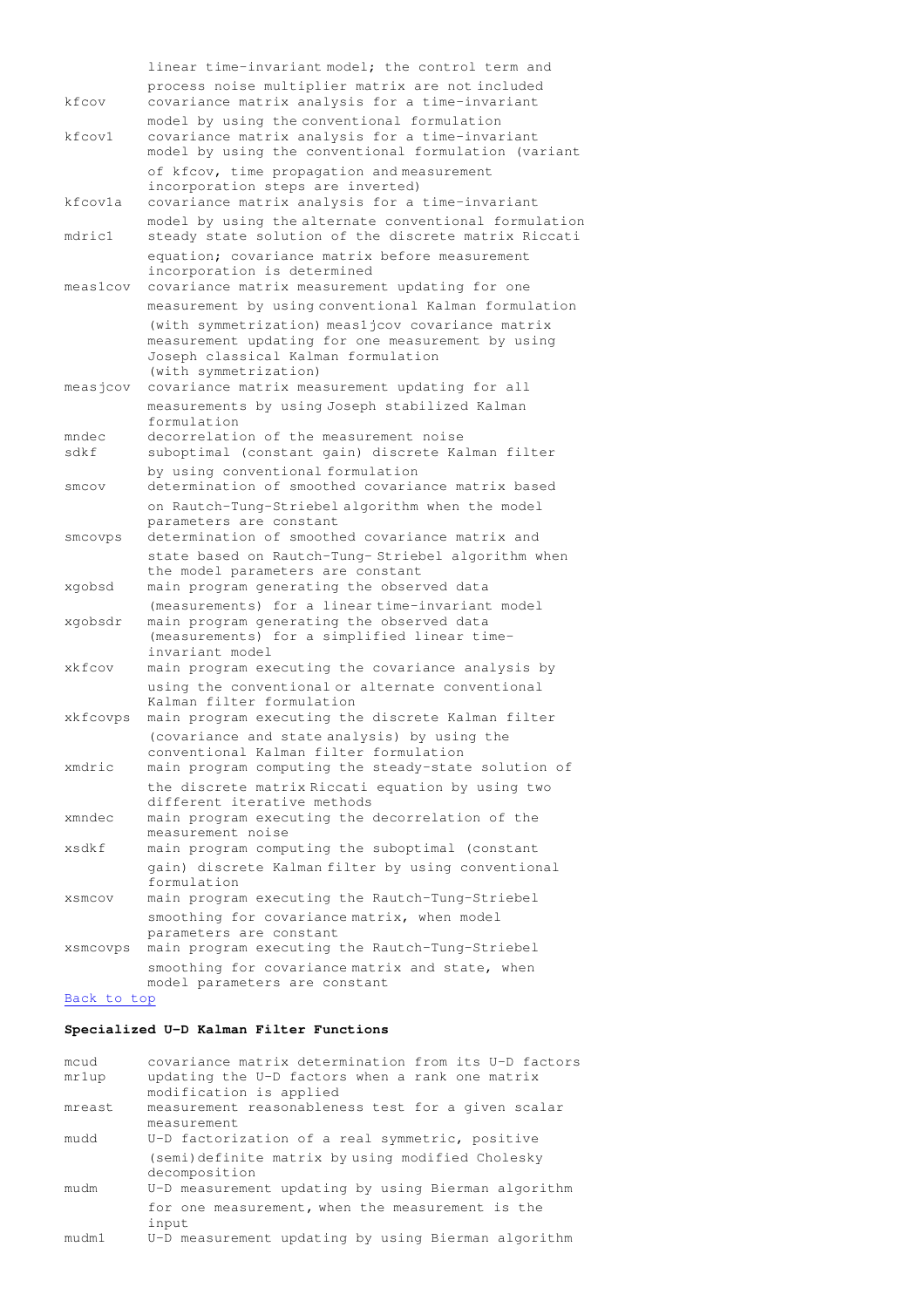linear time-invariant model; the control term and process noise multiplier matrix are not included kfcov covariance matrix analysis for a time-invariant model by using the conventional formulation kfcov1 covariance matrix analysis for a time-invariant model by using the conventional formulation (variant of kfcov, time propagation and measurement incorporation steps are inverted) kfcov1a covariance matrix analysis for a time-invariant model by using the alternate conventional formulation mdric1 steady state solution of the discrete matrix Riccati equation; covariance matrix before measurement incorporation is determined meas1cov covariance matrix measurement updating for one measurement by using conventional Kalman formulation (with symmetrization) meas1jcov covariance matrix measurement updating for one measurement by using Joseph classical Kalman formulation (with symmetrization) measjcov covariance matrix measurement updating for all measurements by using Joseph stabilized Kalman formulation mndec decorrelation of the measurement noise sdkf suboptimal (constant gain) discrete Kalman filter by using conventional formulation smcov determination of smoothed covariance matrix based on Rautch-Tung-Striebel algorithm when the model parameters are constant smcovps determination of smoothed covariance matrix and state based on Rautch-Tung- Striebel algorithm when the model parameters are constant xgobsd main program generating the observed data (measurements) for a linear time-invariant model xgobsdr main program generating the observed data (measurements) for a simplified linear time invariant model xkfcov main program executing the covariance analysis by using the conventional or alternate conventional Kalman filter formulation xkfcovps main program executing the discrete Kalman filter (covariance and state analysis) by using the conventional Kalman filter formulation xmdric main program computing the steady-state solution of the discrete matrix Riccati equation by using two different iterative methods xmndec main program executing the decorrelation of the measurement noise xsdkf main program computing the suboptimal (constant gain) discrete Kalman filter by using conventional formulation xsmcov main program executing the Rautch-Tung-Striebel smoothing for covariance matrix, when model parameters are constant xsmcovps main program executing the Rautch-Tung-Striebel smoothing for covariance matrix and state, when model parameters are constant Back to top

## **Specialized U-D Kalman Filter Functions**

| mcud   | covariance matrix determination from its U-D factors |
|--------|------------------------------------------------------|
| mr1up  | updating the U-D factors when a rank one matrix      |
|        | modification is applied                              |
| mreast | measurement reasonableness test for a given scalar   |
|        | measurement                                          |
| mudd   | U-D factorization of a real symmetric, positive      |
|        | (semi)definite matrix by using modified Cholesky     |
|        | decomposition                                        |
| mudm   | U-D measurement updating by using Bierman algorithm  |
|        | for one measurement, when the measurement is the     |
|        | input                                                |
| mudm1  | U-D measurement updating by using Bierman algorithm  |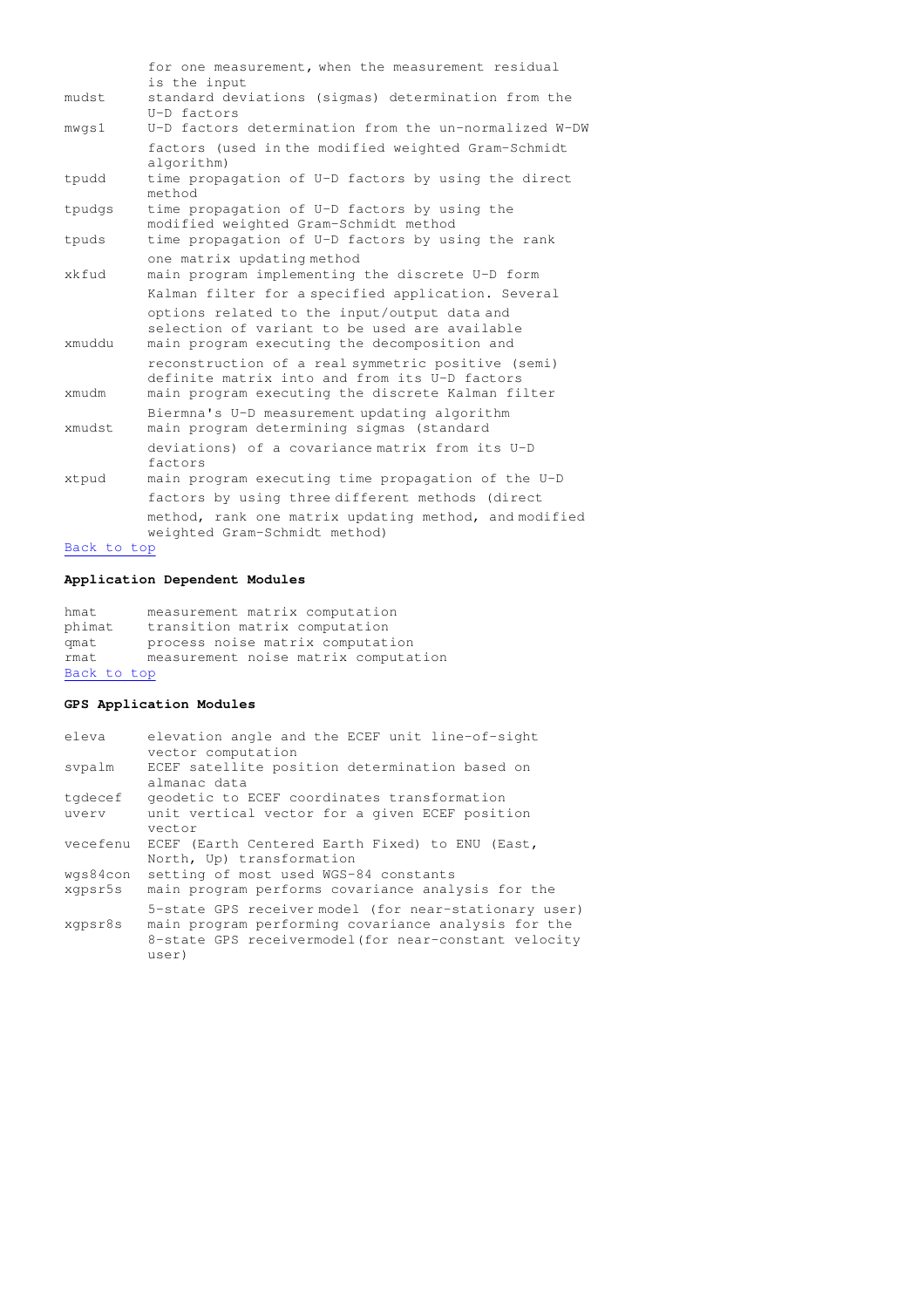|                | for one measurement, when the measurement residual<br>is the input                                                                            |
|----------------|-----------------------------------------------------------------------------------------------------------------------------------------------|
| mudst.         | standard deviations (sigmas) determination from the<br>U-D factors                                                                            |
| mwgs1          | U-D factors determination from the un-normalized W-DW                                                                                         |
|                | factors (used in the modified weighted Gram-Schmidt<br>algorithm)                                                                             |
| tpudd          | time propagation of U-D factors by using the direct<br>method                                                                                 |
| tpudgs         | time propagation of U-D factors by using the<br>modified weighted Gram-Schmidt method                                                         |
| tpuds          | time propagation of U-D factors by using the rank                                                                                             |
| xkfud          | one matrix updating method<br>main program implementing the discrete U-D form                                                                 |
|                | Kalman filter for a specified application. Several                                                                                            |
| xmuddu         | options related to the input/output data and<br>selection of variant to be used are available<br>main program executing the decomposition and |
|                | reconstruction of a real symmetric positive (semi)<br>definite matrix into and from its U-D factors                                           |
| xmudm          | main program executing the discrete Kalman filter                                                                                             |
| xmudst         | Biermna's U-D measurement updating algorithm<br>main program determining sigmas (standard                                                     |
|                | deviations) of a covariance matrix from its U-D<br>factors                                                                                    |
| xtpud          | main program executing time propagation of the U-D                                                                                            |
|                | factors by using three different methods (direct                                                                                              |
|                | method, rank one matrix updating method, and modified<br>weighted Gram-Schmidt method)                                                        |
| $Book + 0 + 0$ |                                                                                                                                               |

## Back to top

## **Application Dependent Modules**

hmat measurement matrix computation phimat transition matrix computation qmat process noise matrix computation rmat measurement noise matrix computation Back to top

## **GPS Application Modules**

| eleva    | elevation angle and the ECEF unit line-of-sight<br>vector computation        |
|----------|------------------------------------------------------------------------------|
| svpalm   | ECEF satellite position determination based on<br>almanac data               |
| tgdecef  | geodetic to ECEF coordinates transformation                                  |
| uvery    | unit vertical vector for a given ECEF position<br>vector                     |
| vecefenu | ECEF (Earth Centered Earth Fixed) to ENU (East,<br>North, Up) transformation |
| wgs84con | setting of most used WGS-84 constants                                        |
| xqpsr5s  | main program performs covariance analysis for the                            |
|          | 5-state GPS receiver model (for near-stationary user)                        |
| xgpsr8s  | main program performing covariance analysis for the                          |
|          | 8-state GPS receivermodel (for near-constant velocity                        |
|          | user)                                                                        |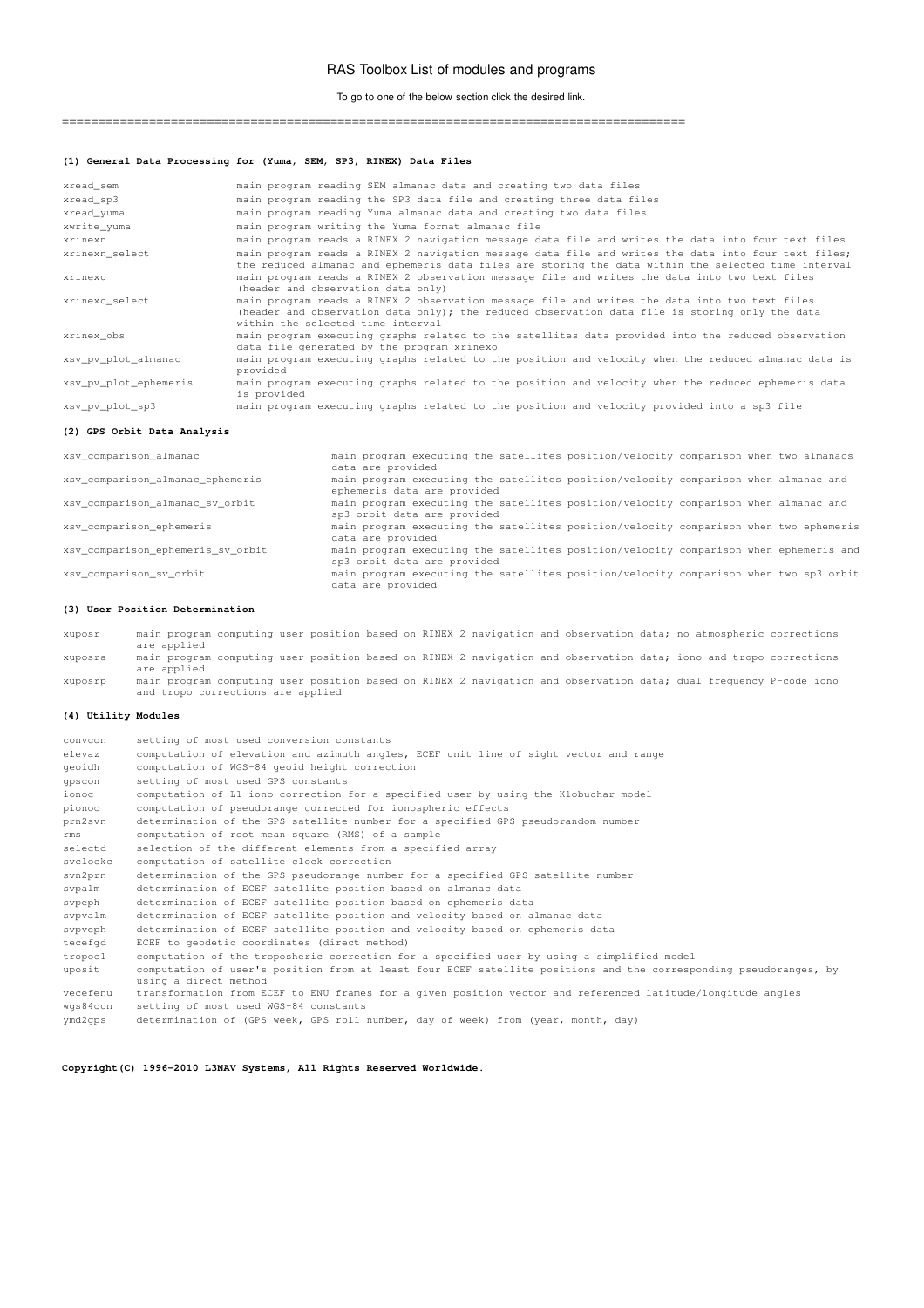### RAS Toolbox List of modules and programs

To go to one of the below section click the desired link.

======================================================================================

### **(1) General Data Processing for (Yuma, SEM, SP3, RINEX) Data Files**

| xread sem             | main program reading SEM almanac data and creating two data files                                                                                                                                                                    |
|-----------------------|--------------------------------------------------------------------------------------------------------------------------------------------------------------------------------------------------------------------------------------|
| xread sp3             | main program reading the SP3 data file and creating three data files                                                                                                                                                                 |
| xread yuma            | main program reading Yuma almanac data and creating two data files                                                                                                                                                                   |
| xwrite yuma           | main program writing the Yuma format almanac file                                                                                                                                                                                    |
| xrinexn               | main program reads a RINEX 2 navigation message data file and writes the data into four text files                                                                                                                                   |
| xrinexn select        | main program reads a RINEX 2 navigation message data file and writes the data into four text files;<br>the reduced almanac and ephemeris data files are storing the data within the selected time interval                           |
| xrinexo               | main program reads a RINEX 2 observation message file and writes the data into two text files<br>(header and observation data only)                                                                                                  |
| xrinexo select        | main program reads a RINEX 2 observation message file and writes the data into two text files<br>(header and observation data only); the reduced observation data file is storing only the data<br>within the selected time interval |
| xrinex obs            | main program executing graphs related to the satellites data provided into the reduced observation<br>data file generated by the program xrinexo                                                                                     |
| xsv pv plot almanac   | main program executing graphs related to the position and velocity when the reduced almanac data is<br>provided                                                                                                                      |
| xsv pv plot ephemeris | main program executing graphs related to the position and velocity when the reduced ephemeris data<br>is provided                                                                                                                    |
| xsv pv plot sp3       | main program executing graphs related to the position and velocity provided into a sp3 file                                                                                                                                          |

### **(2) GPS Orbit Data Analysis**

xsv\_comparison\_almanac main program executing the satellites position/velocity comparison when two almanacs data are provided xsv\_comparison\_almanac\_ephemeris main program executing the satellites position/velocity comparison when almanac and ephemeris data are provided xsv\_comparison\_almanac\_sv\_orbit main program executing the satellites position/velocity comparison when almanac and sp3 orbit data are provided xsv\_comparison\_ephemeris main program executing the satellites position/velocity comparison when two ephemeris data are provided xsv\_comparison\_ephemeris\_sv\_orbit main program executing the satellites position/velocity comparison when ephemeris and sp3 orbit data are provided xsv\_comparison\_sv\_orbit main program executing the satellites position/velocity comparison when two sp3 orbit data are provided

### **(3) User Position Determination**

xuposr main program computing user position based on RINEX 2 navigation and observation data; no atmospheric corrections are applied xuposra main program computing user position based on RINEX 2 navigation and observation data; iono and tropo corrections are applied

xuposrp main program computing user position based on RINEX 2 navigation and observation data; dual frequency P-code iono and tropo corrections are applied

#### **(4) Utility Modules**

| convcon  | setting of most used conversion constants                                                                         |
|----------|-------------------------------------------------------------------------------------------------------------------|
| elevaz   | computation of elevation and azimuth angles, ECEF unit line of sight vector and range                             |
| qeoidh   | computation of WGS-84 geoid height correction                                                                     |
| qpscon   | setting of most used GPS constants                                                                                |
| ionoc    | computation of L1 iono correction for a specified user by using the Klobuchar model                               |
| pionoc   | computation of pseudorange corrected for ionospheric effects                                                      |
| prn2svn  | determination of the GPS satellite number for a specified GPS pseudorandom number                                 |
| rms      | computation of root mean square (RMS) of a sample                                                                 |
| selectd  | selection of the different elements from a specified array                                                        |
| svclockc | computation of satellite clock correction                                                                         |
| svn2prn  | determination of the GPS pseudorange number for a specified GPS satellite number                                  |
| svpalm   | determination of ECEF satellite position based on almanac data                                                    |
| svpeph   | determination of ECEF satellite position based on ephemeris data                                                  |
| svovalm  | determination of ECEF satellite position and velocity based on almanac data                                       |
| svpveph  | determination of ECEF satellite position and velocity based on ephemeris data                                     |
| tecefgd  | ECEF to geodetic coordinates (direct method)                                                                      |
| tropoc1  | computation of the troposheric correction for a specified user by using a simplified model                        |
| uposit   | computation of user's position from at least four ECEF satellite positions and the corresponding pseudoranges, by |
|          | using a direct method                                                                                             |
| vecefenu | transformation from ECEF to ENU frames for a given position vector and referenced latitude/longitude angles       |
| wgs84con | setting of most used WGS-84 constants                                                                             |
| ymd2qps  | determination of (GPS week, GPS roll number, day of week) from (year, month, day)                                 |

**Copyright(C) 1996-2010 L3NAV Systems, All Rights Reserved Worldwide.**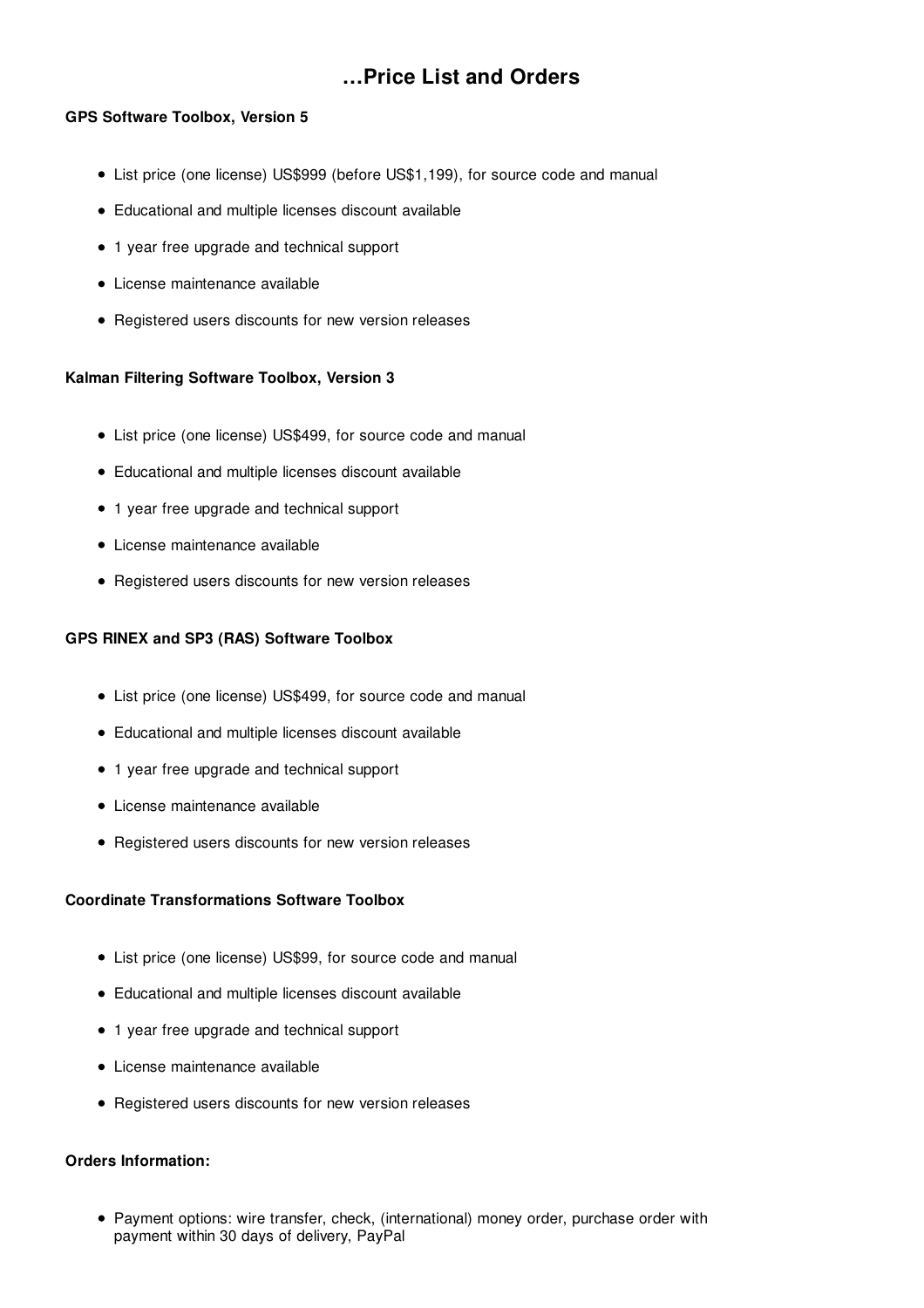# **…Price List and Orders**

## **GPS Software Toolbox, Version 5**

- List price (one license) US\$999 (before US\$1,199), for source code and manual
- Educational and multiple licenses discount available
- 1 year free upgrade and technical support
- License maintenance available
- Registered users discounts for new version releases

## **Kalman Filtering Software Toolbox, Version 3**

- List price (one license) US\$499, for source code and manual
- Educational and multiple licenses discount available
- 1 year free upgrade and technical support
- License maintenance available
- Registered users discounts for new version releases

## **GPS RINEX and SP3 (RAS) Software Toolbox**

- List price (one license) US\$499, for source code and manual
- Educational and multiple licenses discount available
- 1 year free upgrade and technical support
- License maintenance available
- Registered users discounts for new version releases

## **Coordinate Transformations Software Toolbox**

- List price (one license) US\$99, for source code and manual
- Educational and multiple licenses discount available
- 1 year free upgrade and technical support
- License maintenance available
- Registered users discounts for new version releases

## **Orders Information:**

Payment options: wire transfer, check, (international) money order, purchase order with payment within 30 days of delivery, PayPal